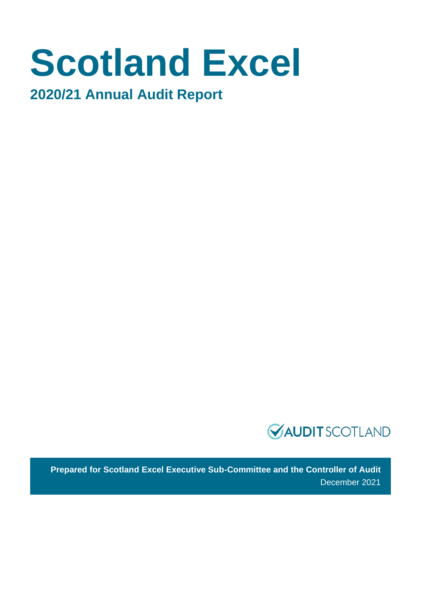# **Scotland Excel**

**2020/21 Annual Audit Report** 



**Prepared for Scotland Excel Executive Sub-Committee and the Controller of Audit** December 2021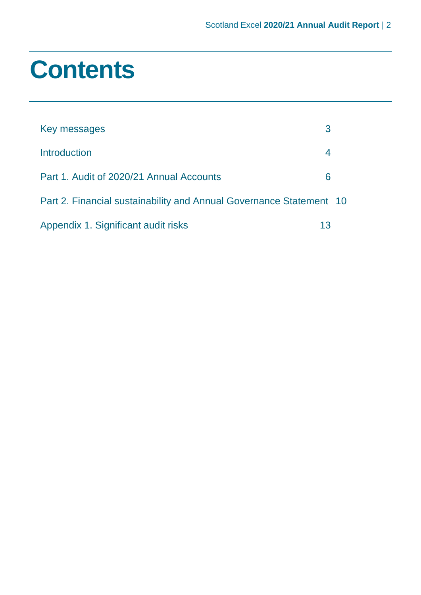# **Contents**

| Key messages                                                        | 3  |  |
|---------------------------------------------------------------------|----|--|
| <b>Introduction</b>                                                 | 4  |  |
| Part 1. Audit of 2020/21 Annual Accounts                            | 6  |  |
| Part 2. Financial sustainability and Annual Governance Statement 10 |    |  |
| Appendix 1. Significant audit risks                                 | 13 |  |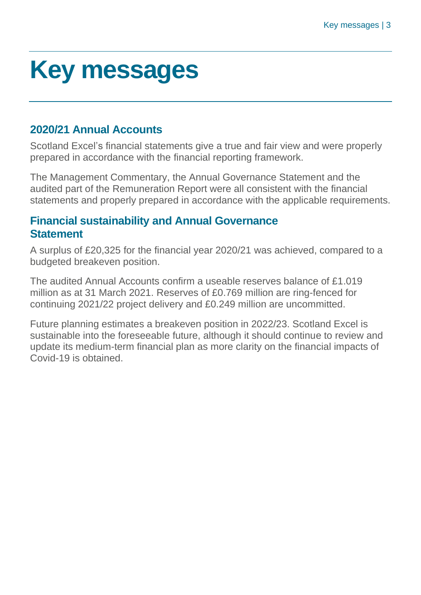# <span id="page-2-0"></span>**Key messages**

# **2020/21 Annual Accounts**

Scotland Excel's financial statements give a true and fair view and were properly prepared in accordance with the financial reporting framework.

The Management Commentary, the Annual Governance Statement and the audited part of the Remuneration Report were all consistent with the financial statements and properly prepared in accordance with the applicable requirements.

# **Financial sustainability and Annual Governance Statement**

A surplus of £20,325 for the financial year 2020/21 was achieved, compared to a budgeted breakeven position.

The audited Annual Accounts confirm a useable reserves balance of £1.019 million as at 31 March 2021. Reserves of £0.769 million are ring-fenced for continuing 2021/22 project delivery and £0.249 million are uncommitted.

Future planning estimates a breakeven position in 2022/23. Scotland Excel is sustainable into the foreseeable future, although it should continue to review and update its medium-term financial plan as more clarity on the financial impacts of Covid-19 is obtained.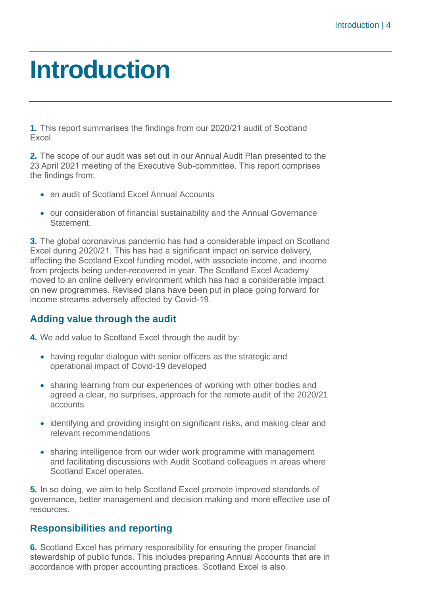# <span id="page-3-0"></span>**Introduction**

**1.** This report summarises the findings from our 2020/21 audit of Scotland Excel.

**2.** The scope of our audit was set out in our Annual Audit Plan presented to the 23 April 2021 meeting of the Executive Sub-committee. This report comprises the findings from:

- an audit of Scotland Excel Annual Accounts
- our consideration of financial sustainability and the Annual Governance **Statement**

**3.** The global coronavirus pandemic has had a considerable impact on Scotland Excel during 2020/21. This has had a significant impact on service delivery, affecting the Scotland Excel funding model, with associate income, and income from projects being under-recovered in year. The Scotland Excel Academy moved to an online delivery environment which has had a considerable impact on new programmes. Revised plans have been put in place going forward for income streams adversely affected by Covid-19.

### **Adding value through the audit**

**4.** We add value to Scotland Excel through the audit by:

- having regular dialogue with senior officers as the strategic and operational impact of Covid-19 developed
- sharing learning from our experiences of working with other bodies and agreed a clear, no surprises, approach for the remote audit of the 2020/21 accounts
- identifying and providing insight on significant risks, and making clear and relevant recommendations
- sharing intelligence from our wider work programme with management and facilitating discussions with Audit Scotland colleagues in areas where Scotland Excel operates.

**5.** In so doing, we aim to help Scotland Excel promote improved standards of governance, better management and decision making and more effective use of resources.

#### **Responsibilities and reporting**

**6.** Scotland Excel has primary responsibility for ensuring the proper financial stewardship of public funds. This includes preparing Annual Accounts that are in accordance with proper accounting practices. Scotland Excel is also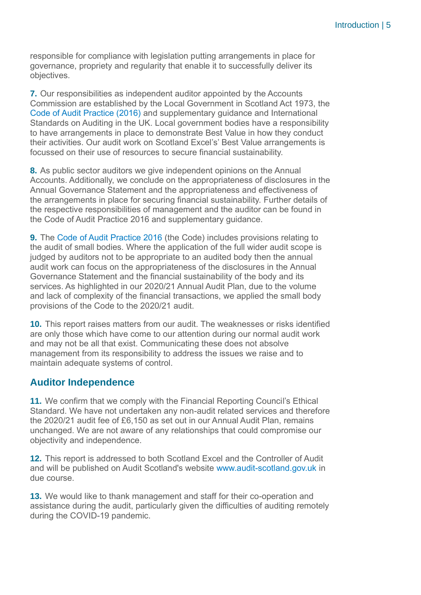responsible for compliance with legislation putting arrangements in place for governance, propriety and regularity that enable it to successfully deliver its objectives.

**7.** Our responsibilities as independent auditor appointed by the Accounts Commission are established by the Local Government in Scotland Act 1973, the [Code of Audit Practice \(2016\)](http://www.audit-scotland.gov.uk/report/code-of-audit-practice-2016) and supplementary guidance and International Standards on Auditing in the UK. Local government bodies have a responsibility to have arrangements in place to demonstrate Best Value in how they conduct their activities. Our audit work on Scotland Excel's' Best Value arrangements is focussed on their use of resources to secure financial sustainability.

**8.** As public sector auditors we give independent opinions on the Annual Accounts. Additionally, we conclude on the appropriateness of disclosures in the Annual Governance Statement and the appropriateness and effectiveness of the arrangements in place for securing financial sustainability. Further details of the respective responsibilities of management and the auditor can be found in the Code of Audit Practice 2016 and supplementary guidance.

**9.** The [Code of Audit Practice 2016](http://www.audit-scotland.gov.uk/report/code-of-audit-practice-2016) (the Code) includes provisions relating to the audit of small bodies. Where the application of the full wider audit scope is judged by auditors not to be appropriate to an audited body then the annual audit work can focus on the appropriateness of the disclosures in the Annual Governance Statement and the financial sustainability of the body and its services. As highlighted in our 2020/21 Annual Audit Plan, due to the volume and lack of complexity of the financial transactions, we applied the small body provisions of the Code to the 2020/21 audit.

**10.** This report raises matters from our audit. The weaknesses or risks identified are only those which have come to our attention during our normal audit work and may not be all that exist. Communicating these does not absolve management from its responsibility to address the issues we raise and to maintain adequate systems of control.

#### **Auditor Independence**

**11.** We confirm that we comply with the Financial Reporting Council's Ethical Standard. We have not undertaken any non-audit related services and therefore the 2020/21 audit fee of £6,150 as set out in our Annual Audit Plan, remains unchanged. We are not aware of any relationships that could compromise our objectivity and independence.

**12.** This report is addressed to both Scotland Excel and the Controller of Audit and will be published on Audit Scotland's website [www.audit-scotland.gov.uk](http://www.audit-scotland.gov.uk/) in due course.

**13.** We would like to thank management and staff for their co-operation and assistance during the audit, particularly given the difficulties of auditing remotely during the COVID-19 pandemic.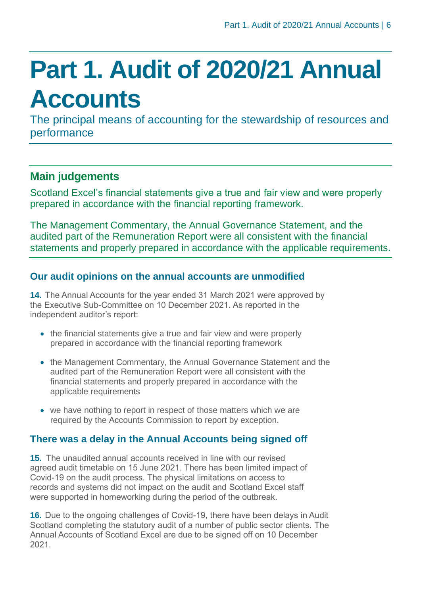# <span id="page-5-0"></span>**Part 1. Audit of 2020/21 Annual Accounts**

The principal means of accounting for the stewardship of resources and performance

# **Main judgements**

Scotland Excel's financial statements give a true and fair view and were properly prepared in accordance with the financial reporting framework.

The Management Commentary, the Annual Governance Statement, and the audited part of the Remuneration Report were all consistent with the financial statements and properly prepared in accordance with the applicable requirements.

### **Our audit opinions on the annual accounts are unmodified**

**14.** The Annual Accounts for the year ended 31 March 2021 were approved by the Executive Sub-Committee on 10 December 2021. As reported in the independent auditor's report:

- the financial statements give a true and fair view and were properly prepared in accordance with the financial reporting framework
- the Management Commentary, the Annual Governance Statement and the audited part of the Remuneration Report were all consistent with the financial statements and properly prepared in accordance with the applicable requirements
- we have nothing to report in respect of those matters which we are required by the Accounts Commission to report by exception.

### **There was a delay in the Annual Accounts being signed off**

**15.** The unaudited annual accounts received in line with our revised agreed audit timetable on 15 June 2021. There has been limited impact of Covid-19 on the audit process. The physical limitations on access to records and systems did not impact on the audit and Scotland Excel staff were supported in homeworking during the period of the outbreak.

**16.** Due to the ongoing challenges of Covid-19, there have been delays in Audit Scotland completing the statutory audit of a number of public sector clients. The Annual Accounts of Scotland Excel are due to be signed off on 10 December 2021.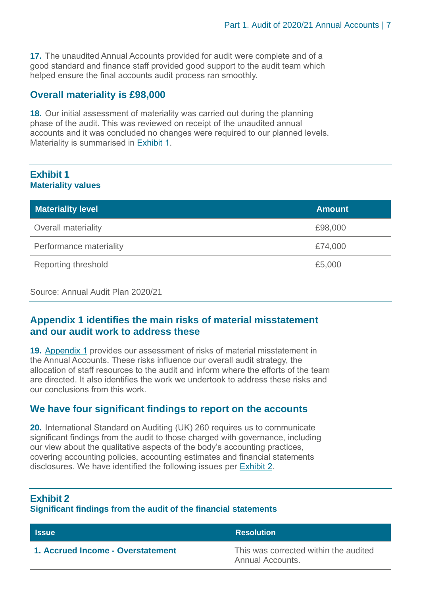**17.** The unaudited Annual Accounts provided for audit were complete and of a good standard and finance staff provided good support to the audit team which helped ensure the final accounts audit process ran smoothly.

#### **Overall materiality is £98,000**

**18.** Our initial assessment of materiality was carried out during the planning phase of the audit. This was reviewed on receipt of the unaudited annual accounts and it was concluded no changes were required to our planned levels. Materiality is summarised in [Exhibit](#page-6-0) 1.

#### <span id="page-6-0"></span>**Exhibit 1 Materiality values**

| <b>Materiality level</b> | <b>Amount</b> |
|--------------------------|---------------|
| Overall materiality      | £98,000       |
| Performance materiality  | £74,000       |
| Reporting threshold      | £5,000        |

Source: Annual Audit Plan 2020/21

#### **[Appendix 1](#page-12-0) identifies the main risks of material misstatement and our audit work to address these**

**19.** [Appendix 1](#page-12-0) provides our assessment of risks of material misstatement in the Annual Accounts. These risks influence our overall audit strategy, the allocation of staff resources to the audit and inform where the efforts of the team are directed. It also identifies the work we undertook to address these risks and our conclusions from this work.

#### **We have four significant findings to report on the accounts**

**20.** International Standard on Auditing (UK) 260 requires us to communicate significant findings from the audit to those charged with governance, including our view about the qualitative aspects of the body's accounting practices, covering accounting policies, accounting estimates and financial statements disclosures. We have identified the following issues per Exhibit 2.

#### **Exhibit 2**

#### **Significant findings from the audit of the financial statements**

| <b>Issue</b>                      | <b>Resolution</b>                                         |
|-----------------------------------|-----------------------------------------------------------|
| 1. Accrued Income - Overstatement | This was corrected within the audited<br>Annual Accounts. |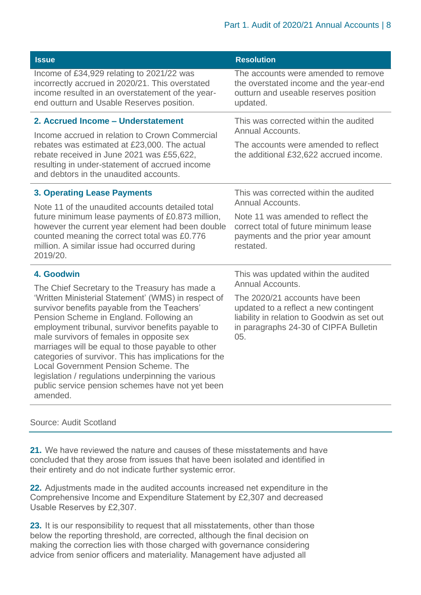| <b>Issue</b>                                                                                                                                                                                                                                                                                                                                                                                                                                                                                                                 | <b>Resolution</b>                                                                                                                                                      |  |
|------------------------------------------------------------------------------------------------------------------------------------------------------------------------------------------------------------------------------------------------------------------------------------------------------------------------------------------------------------------------------------------------------------------------------------------------------------------------------------------------------------------------------|------------------------------------------------------------------------------------------------------------------------------------------------------------------------|--|
| Income of £34,929 relating to 2021/22 was                                                                                                                                                                                                                                                                                                                                                                                                                                                                                    | The accounts were amended to remove                                                                                                                                    |  |
| incorrectly accrued in 2020/21. This overstated                                                                                                                                                                                                                                                                                                                                                                                                                                                                              | the overstated income and the year-end                                                                                                                                 |  |
| income resulted in an overstatement of the year-                                                                                                                                                                                                                                                                                                                                                                                                                                                                             | outturn and useable reserves position                                                                                                                                  |  |
| end outturn and Usable Reserves position.                                                                                                                                                                                                                                                                                                                                                                                                                                                                                    | updated.                                                                                                                                                               |  |
| 2. Accrued Income - Understatement                                                                                                                                                                                                                                                                                                                                                                                                                                                                                           | This was corrected within the audited                                                                                                                                  |  |
| Income accrued in relation to Crown Commercial                                                                                                                                                                                                                                                                                                                                                                                                                                                                               | Annual Accounts.                                                                                                                                                       |  |
| rebates was estimated at £23,000. The actual                                                                                                                                                                                                                                                                                                                                                                                                                                                                                 | The accounts were amended to reflect                                                                                                                                   |  |
| rebate received in June 2021 was £55,622,<br>resulting in under-statement of accrued income<br>and debtors in the unaudited accounts.                                                                                                                                                                                                                                                                                                                                                                                        | the additional £32,622 accrued income.                                                                                                                                 |  |
| <b>3. Operating Lease Payments</b>                                                                                                                                                                                                                                                                                                                                                                                                                                                                                           | This was corrected within the audited                                                                                                                                  |  |
| Note 11 of the unaudited accounts detailed total                                                                                                                                                                                                                                                                                                                                                                                                                                                                             | Annual Accounts.                                                                                                                                                       |  |
| future minimum lease payments of £0.873 million,<br>however the current year element had been double<br>counted meaning the correct total was £0.776<br>million. A similar issue had occurred during<br>2019/20.                                                                                                                                                                                                                                                                                                             | Note 11 was amended to reflect the<br>correct total of future minimum lease<br>payments and the prior year amount<br>restated.                                         |  |
| 4. Goodwin                                                                                                                                                                                                                                                                                                                                                                                                                                                                                                                   | This was updated within the audited                                                                                                                                    |  |
| The Chief Secretary to the Treasury has made a                                                                                                                                                                                                                                                                                                                                                                                                                                                                               | Annual Accounts.                                                                                                                                                       |  |
| 'Written Ministerial Statement' (WMS) in respect of<br>survivor benefits payable from the Teachers'<br>Pension Scheme in England. Following an<br>employment tribunal, survivor benefits payable to<br>male survivors of females in opposite sex<br>marriages will be equal to those payable to other<br>categories of survivor. This has implications for the<br>Local Government Pension Scheme, The<br>legislation / regulations underpinning the various<br>public service pension schemes have not yet been<br>amended. | The 2020/21 accounts have been<br>updated to a reflect a new contingent<br>liability in relation to Goodwin as set out<br>in paragraphs 24-30 of CIPFA Bulletin<br>05. |  |

#### Source: Audit Scotland

**21.** We have reviewed the nature and causes of these misstatements and have concluded that they arose from issues that have been isolated and identified in their entirety and do not indicate further systemic error.

**22.** Adjustments made in the audited accounts increased net expenditure in the Comprehensive Income and Expenditure Statement by £2,307 and decreased Usable Reserves by £2,307.

**23.** It is our responsibility to request that all misstatements, other than those below the reporting threshold, are corrected, although the final decision on making the correction lies with those charged with governance considering advice from senior officers and materiality. Management have adjusted all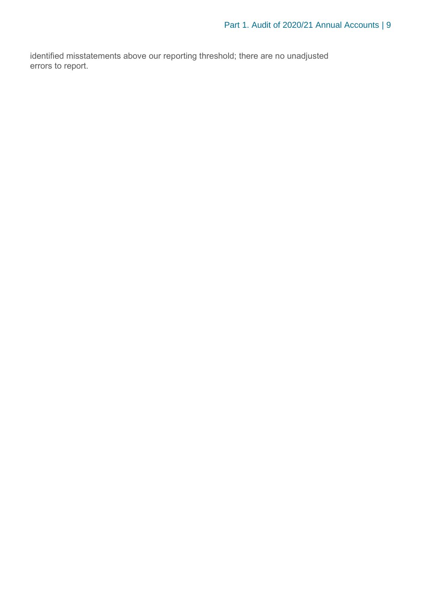identified misstatements above our reporting threshold; there are no unadjusted errors to report.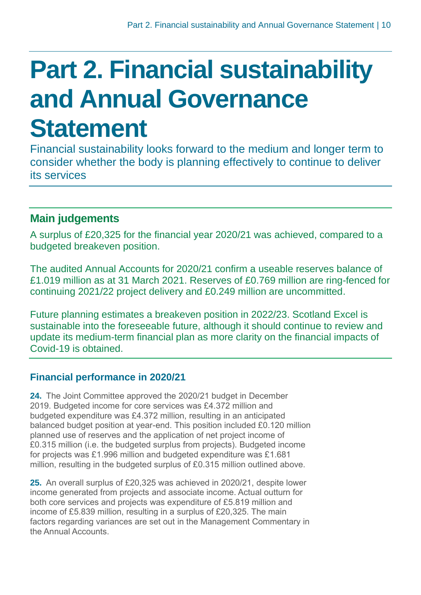# <span id="page-9-0"></span>**Part 2. Financial sustainability and Annual Governance Statement**

Financial sustainability looks forward to the medium and longer term to consider whether the body is planning effectively to continue to deliver its services

# **Main judgements**

A surplus of £20,325 for the financial year 2020/21 was achieved, compared to a budgeted breakeven position.

The audited Annual Accounts for 2020/21 confirm a useable reserves balance of £1.019 million as at 31 March 2021. Reserves of £0.769 million are ring-fenced for continuing 2021/22 project delivery and £0.249 million are uncommitted.

Future planning estimates a breakeven position in 2022/23. Scotland Excel is sustainable into the foreseeable future, although it should continue to review and update its medium-term financial plan as more clarity on the financial impacts of Covid-19 is obtained.

### **Financial performance in 2020/21**

**24.** The Joint Committee approved the 2020/21 budget in December 2019. Budgeted income for core services was £4.372 million and budgeted expenditure was £4.372 million, resulting in an anticipated balanced budget position at year-end. This position included £0.120 million planned use of reserves and the application of net project income of £0.315 million (i.e. the budgeted surplus from projects). Budgeted income for projects was £1.996 million and budgeted expenditure was £1.681 million, resulting in the budgeted surplus of £0.315 million outlined above.

**25.** An overall surplus of £20,325 was achieved in 2020/21, despite lower income generated from projects and associate income. Actual outturn for both core services and projects was expenditure of £5.819 million and income of £5.839 million, resulting in a surplus of £20,325. The main factors regarding variances are set out in the Management Commentary in the Annual Accounts.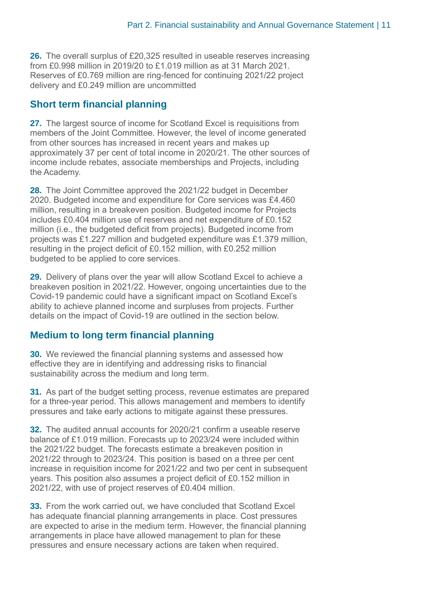**26.** The overall surplus of £20,325 resulted in useable reserves increasing from £0.998 million in 2019/20 to £1.019 million as at 31 March 2021. Reserves of £0.769 million are ring-fenced for continuing 2021/22 project delivery and £0.249 million are uncommitted

#### **Short term financial planning**

**27.** The largest source of income for Scotland Excel is requisitions from members of the Joint Committee. However, the level of income generated from other sources has increased in recent years and makes up approximately 37 per cent of total income in 2020/21. The other sources of income include rebates, associate memberships and Projects, including the Academy.

**28.** The Joint Committee approved the 2021/22 budget in December 2020. Budgeted income and expenditure for Core services was £4.460 million, resulting in a breakeven position. Budgeted income for Projects includes £0.404 million use of reserves and net expenditure of £0.152 million (i.e., the budgeted deficit from projects). Budgeted income from projects was £1.227 million and budgeted expenditure was £1.379 million, resulting in the project deficit of £0.152 million, with £0.252 million budgeted to be applied to core services.

**29.** Delivery of plans over the year will allow Scotland Excel to achieve a breakeven position in 2021/22. However, ongoing uncertainties due to the Covid-19 pandemic could have a significant impact on Scotland Excel's ability to achieve planned income and surpluses from projects. Further details on the impact of Covid-19 are outlined in the section below.

### **Medium to long term financial planning**

**30.** We reviewed the financial planning systems and assessed how effective they are in identifying and addressing risks to financial sustainability across the medium and long term.

**31.** As part of the budget setting process, revenue estimates are prepared for a three-year period. This allows management and members to identify pressures and take early actions to mitigate against these pressures.

**32.** The audited annual accounts for 2020/21 confirm a useable reserve balance of £1.019 million. Forecasts up to 2023/24 were included within the 2021/22 budget. The forecasts estimate a breakeven position in 2021/22 through to 2023/24. This position is based on a three per cent increase in requisition income for 2021/22 and two per cent in subsequent years. This position also assumes a project deficit of £0.152 million in 2021/22, with use of project reserves of £0.404 million.

**33.** From the work carried out, we have concluded that Scotland Excel has adequate financial planning arrangements in place. Cost pressures are expected to arise in the medium term. However, the financial planning arrangements in place have allowed management to plan for these pressures and ensure necessary actions are taken when required.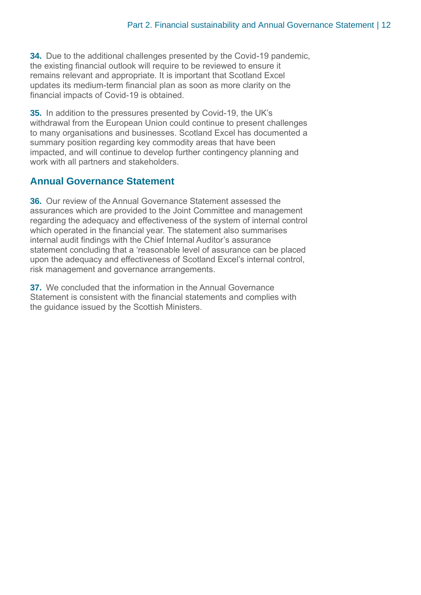**34.** Due to the additional challenges presented by the Covid-19 pandemic, the existing financial outlook will require to be reviewed to ensure it remains relevant and appropriate. It is important that Scotland Excel updates its medium-term financial plan as soon as more clarity on the financial impacts of Covid-19 is obtained.

**35.** In addition to the pressures presented by Covid-19, the UK's withdrawal from the European Union could continue to present challenges to many organisations and businesses. Scotland Excel has documented a summary position regarding key commodity areas that have been impacted, and will continue to develop further contingency planning and work with all partners and stakeholders.

#### **Annual Governance Statement**

**36.** Our review of the Annual Governance Statement assessed the assurances which are provided to the Joint Committee and management regarding the adequacy and effectiveness of the system of internal control which operated in the financial year. The statement also summarises internal audit findings with the Chief Internal Auditor's assurance statement concluding that a 'reasonable level of assurance can be placed upon the adequacy and effectiveness of Scotland Excel's internal control, risk management and governance arrangements.

**37.** We concluded that the information in the Annual Governance Statement is consistent with the financial statements and complies with the guidance issued by the Scottish Ministers.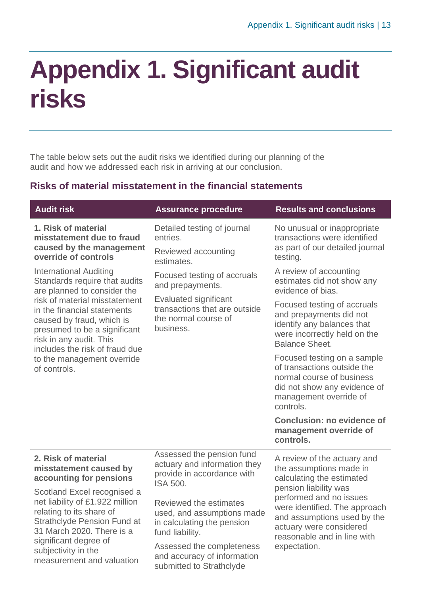# <span id="page-12-0"></span>**Appendix 1. Significant audit risks**

The table below sets out the audit risks we identified during our planning of the audit and how we addressed each risk in arriving at our conclusion.

### **Risks of material misstatement in the financial statements**

| <b>Audit risk</b>                                                                                                                                                                                                                                                                                                                     | <b>Assurance procedure</b>                                                                                                                            | <b>Results and conclusions</b>                                                                                                                                                                                                                                                    |
|---------------------------------------------------------------------------------------------------------------------------------------------------------------------------------------------------------------------------------------------------------------------------------------------------------------------------------------|-------------------------------------------------------------------------------------------------------------------------------------------------------|-----------------------------------------------------------------------------------------------------------------------------------------------------------------------------------------------------------------------------------------------------------------------------------|
| 1. Risk of material<br>misstatement due to fraud<br>caused by the management<br>override of controls                                                                                                                                                                                                                                  | Detailed testing of journal<br>entries.<br>Reviewed accounting<br>estimates.                                                                          | No unusual or inappropriate<br>transactions were identified<br>as part of our detailed journal<br>testing.                                                                                                                                                                        |
| <b>International Auditing</b><br>Standards require that audits<br>are planned to consider the<br>risk of material misstatement<br>in the financial statements<br>caused by fraud, which is<br>presumed to be a significant<br>risk in any audit. This<br>includes the risk of fraud due<br>to the management override<br>of controls. | Focused testing of accruals<br>and prepayments.<br><b>Evaluated significant</b><br>transactions that are outside<br>the normal course of<br>business. | A review of accounting<br>estimates did not show any<br>evidence of bias.                                                                                                                                                                                                         |
|                                                                                                                                                                                                                                                                                                                                       |                                                                                                                                                       | Focused testing of accruals<br>and prepayments did not<br>identify any balances that<br>were incorrectly held on the<br><b>Balance Sheet.</b>                                                                                                                                     |
|                                                                                                                                                                                                                                                                                                                                       |                                                                                                                                                       | Focused testing on a sample<br>of transactions outside the<br>normal course of business<br>did not show any evidence of<br>management override of<br>controls.                                                                                                                    |
|                                                                                                                                                                                                                                                                                                                                       |                                                                                                                                                       | <b>Conclusion: no evidence of</b><br>management override of<br>controls.                                                                                                                                                                                                          |
| 2. Risk of material<br>misstatement caused by<br>accounting for pensions                                                                                                                                                                                                                                                              | Assessed the pension fund<br>actuary and information they<br>provide in accordance with<br><b>ISA 500.</b>                                            | A review of the actuary and<br>the assumptions made in<br>calculating the estimated<br>pension liability was<br>performed and no issues<br>were identified. The approach<br>and assumptions used by the<br>actuary were considered<br>reasonable and in line with<br>expectation. |
| Scotland Excel recognised a<br>net liability of £1.922 million<br>relating to its share of<br><b>Strathclyde Pension Fund at</b><br>31 March 2020. There is a<br>significant degree of<br>subjectivity in the<br>measurement and valuation                                                                                            | Reviewed the estimates<br>used, and assumptions made<br>in calculating the pension<br>fund liability.                                                 |                                                                                                                                                                                                                                                                                   |
|                                                                                                                                                                                                                                                                                                                                       | Assessed the completeness<br>and accuracy of information<br>submitted to Strathclyde                                                                  |                                                                                                                                                                                                                                                                                   |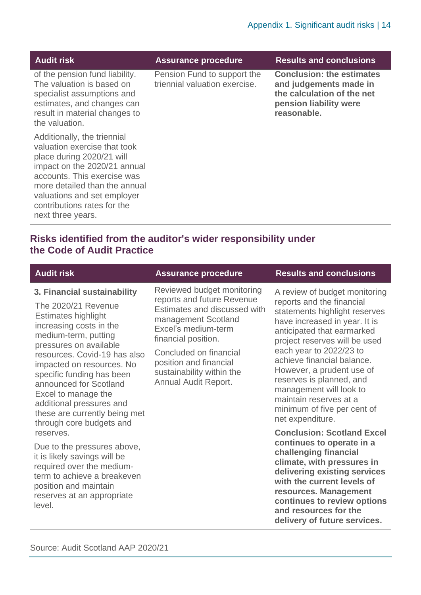| <b>Audit risk</b>                                                                                                                                                                                                                                                           | <b>Assurance procedure</b>                                   | <b>Results and conclusions</b>                                                                                                    |
|-----------------------------------------------------------------------------------------------------------------------------------------------------------------------------------------------------------------------------------------------------------------------------|--------------------------------------------------------------|-----------------------------------------------------------------------------------------------------------------------------------|
| of the pension fund liability.<br>The valuation is based on<br>specialist assumptions and<br>estimates, and changes can<br>result in material changes to<br>the valuation.                                                                                                  | Pension Fund to support the<br>triennial valuation exercise. | <b>Conclusion: the estimates</b><br>and judgements made in<br>the calculation of the net<br>pension liability were<br>reasonable. |
| Additionally, the triennial<br>valuation exercise that took<br>place during 2020/21 will<br>impact on the 2020/21 annual<br>accounts. This exercise was<br>more detailed than the annual<br>valuations and set employer<br>contributions rates for the<br>next three years. |                                                              |                                                                                                                                   |

# **Risks identified from the auditor's wider responsibility under the Code of Audit Practice**

| <b>Audit risk</b>                                                                                                                                                                                                                                                                                                                                                                                 | <b>Assurance procedure</b>                                                                                                                                                                                                                                             | <b>Results and conclusions</b>                                                                                                                                                                                                                                                                                                                                                                                        |
|---------------------------------------------------------------------------------------------------------------------------------------------------------------------------------------------------------------------------------------------------------------------------------------------------------------------------------------------------------------------------------------------------|------------------------------------------------------------------------------------------------------------------------------------------------------------------------------------------------------------------------------------------------------------------------|-----------------------------------------------------------------------------------------------------------------------------------------------------------------------------------------------------------------------------------------------------------------------------------------------------------------------------------------------------------------------------------------------------------------------|
| 3. Financial sustainability<br>The 2020/21 Revenue<br><b>Estimates highlight</b><br>increasing costs in the<br>medium-term, putting<br>pressures on available<br>resources. Covid-19 has also<br>impacted on resources. No<br>specific funding has been<br>announced for Scotland<br>Excel to manage the<br>additional pressures and<br>these are currently being met<br>through core budgets and | Reviewed budget monitoring<br>reports and future Revenue<br>Estimates and discussed with<br>management Scotland<br>Excel's medium-term<br>financial position.<br>Concluded on financial<br>position and financial<br>sustainability within the<br>Annual Audit Report. | A review of budget monitoring<br>reports and the financial<br>statements highlight reserves<br>have increased in year. It is<br>anticipated that earmarked<br>project reserves will be used<br>each year to 2022/23 to<br>achieve financial balance.<br>However, a prudent use of<br>reserves is planned, and<br>management will look to<br>maintain reserves at a<br>minimum of five per cent of<br>net expenditure. |
| reserves.<br>Due to the pressures above,<br>it is likely savings will be<br>required over the medium-<br>term to achieve a breakeven<br>position and maintain<br>reserves at an appropriate<br>level.                                                                                                                                                                                             |                                                                                                                                                                                                                                                                        | <b>Conclusion: Scotland Excel</b><br>continues to operate in a<br>challenging financial<br>climate, with pressures in<br>delivering existing services<br>with the current levels of<br>resources. Management<br>continues to review options<br>and resources for the<br>delivery of future services.                                                                                                                  |